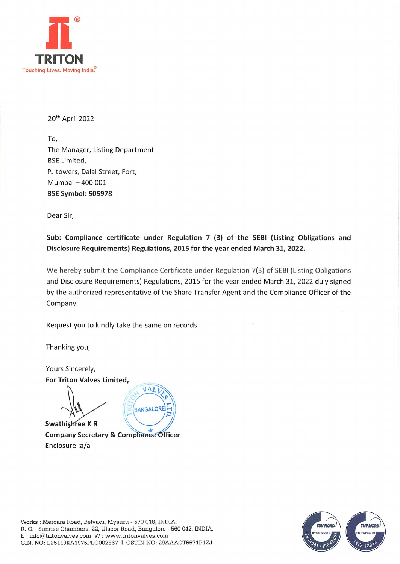

20th April 2022

To, The Manager, Listing Department BSE Limited, PJ towers, Dalal Street, Fort, Mumbai — 400 001 BSE Symbol: 505978

Dear Sir,

Sub: Compliance certificate under Regulation 7 (3) of the SEBI (Listing Obligations and Disclosure Requirements) Regulations, 2015 for the year ended March 31, 2022.

We hereby submit the Compliance Certificate under Regulation 7(3) of SEBI (Listing Obligations and Disclosure Requirements) Regulations, 2015 for the year ended March 31, 2022 duly signed by the authorized representative of the Share Transfer Agent and the Compliance Officer of the Company.

Request you to kindly take the same on records.

Thanking you,

Yours Sincerely, For Triton Valves Limited, VALI BANGALORI lle Swathishree K R

Company Secretary & Compliance Officer Enclosure :a/a